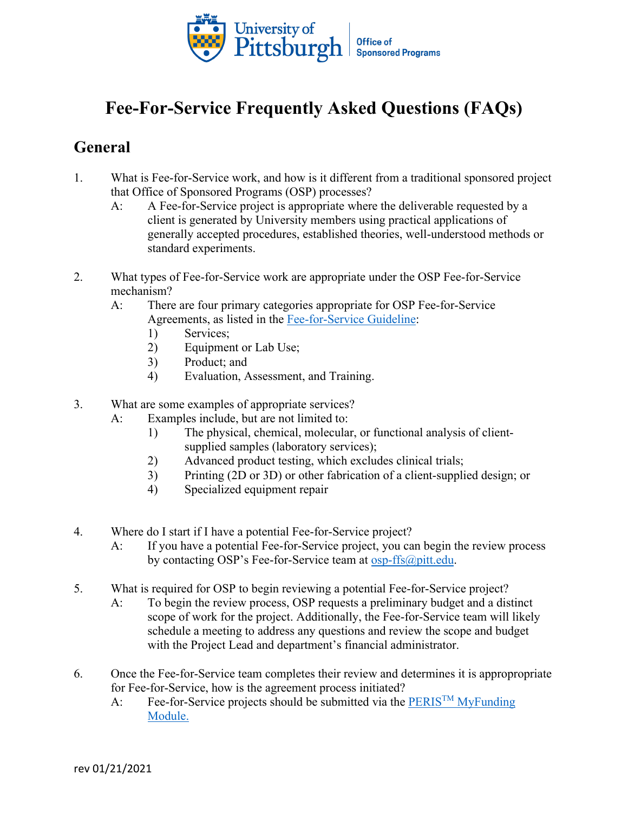

## **Fee-For-Service Frequently Asked Questions (FAQs)**

## **General**

- 1. What is Fee-for-Service work, and how is it different from a traditional sponsored project that Office of Sponsored Programs (OSP) processes?
	- A: A Fee-for-Service project is appropriate where the deliverable requested by a client is generated by University members using practical applications of generally accepted procedures, established theories, well-understood methods or standard experiments.
- 2. What types of Fee-for-Service work are appropriate under the OSP Fee-for-Service mechanism?
	- A: There are four primary categories appropriate for OSP Fee-for-Service Agreements, as listed in the [Fee-for-Service](https://www.osp.pitt.edu/sites/default/files/fee-for-service-guideline_2021-01-20.pdf) Guideline:
		- 1) Services;
		- 2) Equipment or Lab Use;
		- 3) Product; and
		- 4) Evaluation, Assessment, and Training.
- 3. What are some examples of appropriate services?
	- A: Examples include, but are not limited to:
		- 1) The physical, chemical, molecular, or functional analysis of clientsupplied samples (laboratory services);
		- 2) Advanced product testing, which excludes clinical trials;
		- 3) Printing (2D or 3D) or other fabrication of a client-supplied design; or
		- 4) Specialized equipment repair
- 4. Where do I start if I have a potential Fee-for-Service project?
	- A: If you have a potential Fee-for-Service project, you can begin the review process by contacting OSP's Fee-for-Service team at [osp-ffs@pitt.edu.](mailto:osp-ffs@pitt.edu)
- 5. What is required for OSP to begin reviewing a potential Fee-for-Service project?
	- A: To begin the review process, OSP requests a preliminary budget and a distinct scope of work for the project. Additionally, the Fee-for-Service team will likely schedule a meeting to address any questions and review the scope and budget with the Project Lead and department's financial administrator.
- 6. Once the Fee-for-Service team completes their review and determines it is appropropriate for Fee-for-Service, how is the agreement process initiated?
	- A: Fee-for-Service projects should be submitted via the PERIS<sup>TM</sup> MyFunding [Module.](https://electronicresearch.pitt.edu/)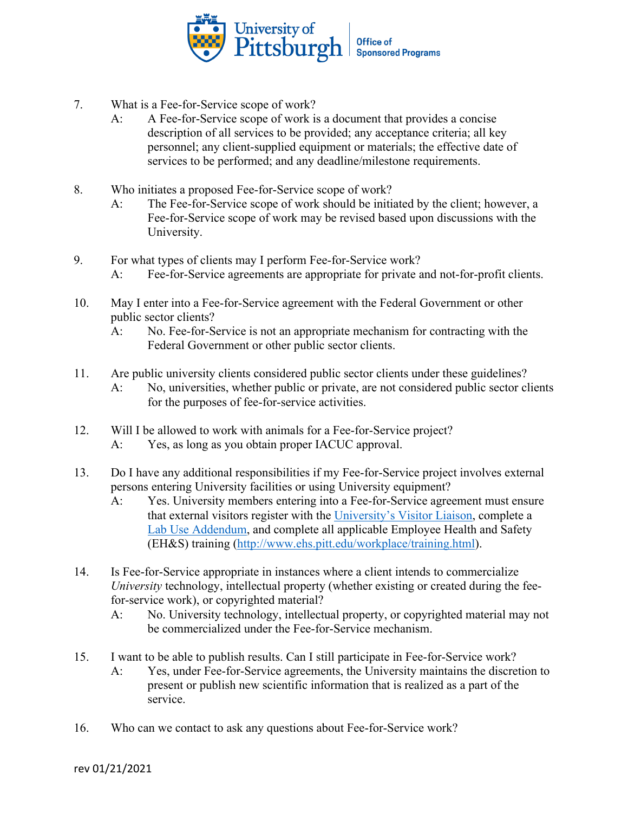

- 7. What is a Fee-for-Service scope of work?
	- A: A Fee-for-Service scope of work is a document that provides a concise description of all services to be provided; any acceptance criteria; all key personnel; any client-supplied equipment or materials; the effective date of services to be performed; and any deadline/milestone requirements.
- 8. Who initiates a proposed Fee-for-Service scope of work?
	- A: The Fee-for-Service scope of work should be initiated by the client; however, a Fee-for-Service scope of work may be revised based upon discussions with the University.
- 9. For what types of clients may I perform Fee-for-Service work?
	- A: Fee-for-Service agreements are appropriate for private and not-for-profit clients.
- 10. May I enter into a Fee-for-Service agreement with the Federal Government or other public sector clients?
	- A: No. Fee-for-Service is not an appropriate mechanism for contracting with the Federal Government or other public sector clients.
- 11. Are public university clients considered public sector clients under these guidelines? A: No, universities, whether public or private, are not considered public sector clients for the purposes of fee-for-service activities.
- 12. Will I be allowed to work with animals for a Fee-for-Service project? A: Yes, as long as you obtain proper IACUC approval.
- 13. Do I have any additional responsibilities if my Fee-for-Service project involves external persons entering University facilities or using University equipment?
	- A: Yes. University members entering into a Fee-for-Service agreement must ensure that external visitors register with the [University's Visitor Liaison,](https://visitor.pitt.edu/) complete a [Lab Use Addendum,](https://visitor.pitt.edu/wp-content/uploads/2018/03/Laboratory-Addendum-3-2018.docx) and complete all applicable Employee Health and Safety (EH&S) training [\(http://www.ehs.pitt.edu/workplace/training.html\)](http://www.ehs.pitt.edu/workplace/training.html).
- 14. Is Fee-for-Service appropriate in instances where a client intends to commercialize *University* technology, intellectual property (whether existing or created during the feefor-service work), or copyrighted material?
	- A: No. University technology, intellectual property, or copyrighted material may not be commercialized under the Fee-for-Service mechanism.
- 15. I want to be able to publish results. Can I still participate in Fee-for-Service work?
	- A: Yes, under Fee-for-Service agreements, the University maintains the discretion to present or publish new scientific information that is realized as a part of the service.
- 16. Who can we contact to ask any questions about Fee-for-Service work?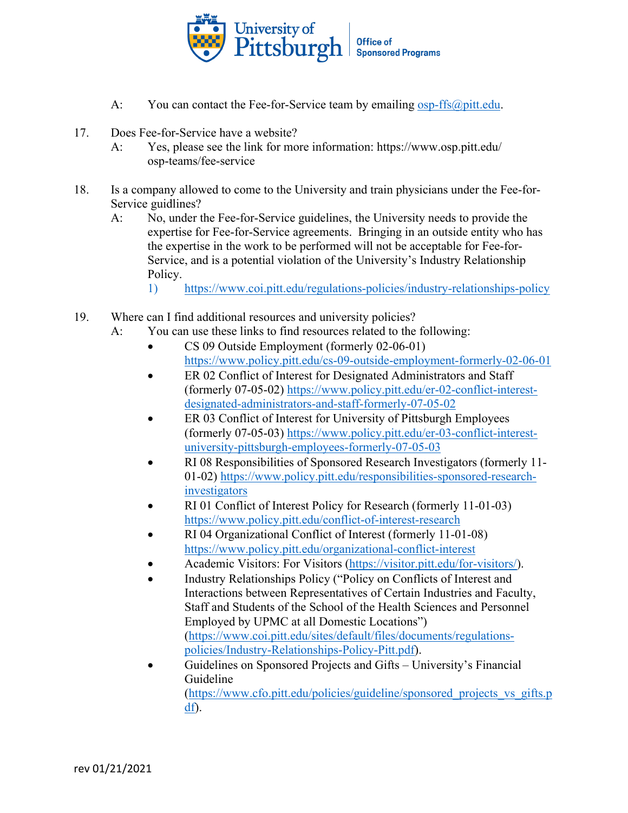

- A: You can contact the Fee-for-Service team by emailing [osp-ffs@pitt.edu.](mailto:osp-ffs@pitt.edu)
- 17. Does Fee-for-Service have a website?
	- A: Yes, please see the link for more information: [https://www.osp.pitt.edu/](https://www.osp.pitt.edu/osp-teams/fee-service) [osp-teams/fee-service](https://www.osp.pitt.edu/osp-teams/fee-service)
- 18. Is a company allowed to come to the University and train physicians under the Fee-for-Service guidlines?
	- A: No, under the Fee-for-Service guidelines, the University needs to provide the expertise for Fee-for-Service agreements. Bringing in an outside entity who has the expertise in the work to be performed will not be acceptable for Fee-for-Service, and is a potential violation of the University's Industry Relationship Policy.
		- 1)<https://www.coi.pitt.edu/regulations-policies/industry-relationships-policy>
- 19. Where can I find additional resources and university policies?
	- A: You can use these links to find resources related to the following:
		- CS 09 Outside Employment (formerly 02-06-01) <https://www.policy.pitt.edu/cs-09-outside-employment-formerly-02-06-01>
		- ER 02 Conflict of Interest for Designated Administrators and Staff (formerly 07-05-02) [https://www.policy.pitt.edu/er-02-conflict-interest](https://www.policy.pitt.edu/er-02-conflict-interest-designated-administrators-and-staff-formerly-07-05-02)[designated-administrators-and-staff-formerly-07-05-02](https://www.policy.pitt.edu/er-02-conflict-interest-designated-administrators-and-staff-formerly-07-05-02)
		- ER 03 Conflict of Interest for University of Pittsburgh Employees (formerly 07-05-03) [https://www.policy.pitt.edu/er-03-conflict-interest](https://www.policy.pitt.edu/er-03-conflict-interest-university-pittsburgh-employees-formerly-07-05-03)[university-pittsburgh-employees-formerly-07-05-03](https://www.policy.pitt.edu/er-03-conflict-interest-university-pittsburgh-employees-formerly-07-05-03)
		- RI 08 Responsibilities of Sponsored Research Investigators (formerly 11- 01-02) [https://www.policy.pitt.edu/responsibilities-sponsored-research](https://www.policy.pitt.edu/responsibilities-sponsored-research-investigators)[investigators](https://www.policy.pitt.edu/responsibilities-sponsored-research-investigators)
		- RI 01 Conflict of Interest Policy for Research (formerly 11-01-03) <https://www.policy.pitt.edu/conflict-of-interest-research>
		- RI 04 Organizational Conflict of Interest (formerly 11-01-08) <https://www.policy.pitt.edu/organizational-conflict-interest>
		- Academic Visitors: For Visitors [\(https://visitor.pitt.edu/for-visitors/\)](https://visitor.pitt.edu/for-visitors/).
		- Industry Relationships Policy ("Policy on Conflicts of Interest and Interactions between Representatives of Certain Industries and Faculty, Staff and Students of the School of the Health Sciences and Personnel Employed by UPMC at all Domestic Locations") [\(https://www.coi.pitt.edu/sites/default/files/documents/regulations](https://www.coi.pitt.edu/sites/default/files/documents/regulations-policies/Industry-Relationships-Policy-Pitt.pdf)[policies/Industry-Relationships-Policy-Pitt.pdf\)](https://www.coi.pitt.edu/sites/default/files/documents/regulations-policies/Industry-Relationships-Policy-Pitt.pdf).
		- Guidelines on Sponsored Projects and Gifts University's Financial Guideline

[\(https://www.cfo.pitt.edu/policies/guideline/sponsored\\_projects\\_vs\\_gifts.p](https://www.cfo.pitt.edu/policies/guideline/sponsored_projects_vs_gifts.pdf) [df\)](https://www.cfo.pitt.edu/policies/guideline/sponsored_projects_vs_gifts.pdf).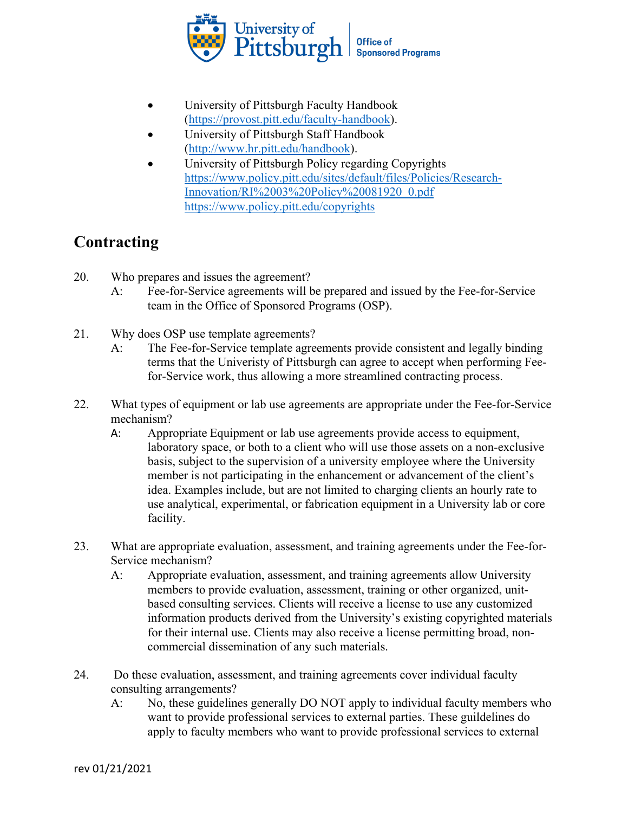

- University of Pittsburgh Faculty Handbook [\(https://provost.pitt.edu/faculty-handbook\)](https://provost.pitt.edu/faculty-handbook).
- University of Pittsburgh Staff Handbook [\(http://www.hr.pitt.edu/handbook\)](http://www.hr.pitt.edu/handbook).
- University of Pittsburgh Policy regarding Copyrights [https://www.policy.pitt.edu/sites/default/files/Policies/Research-](https://www.policy.pitt.edu/sites/default/files/Policies/Research-Innovation/RI%2003%20Policy%20081920_0.pdf)[Innovation/RI%2003%20Policy%20081920\\_0.pdf](https://www.policy.pitt.edu/sites/default/files/Policies/Research-Innovation/RI%2003%20Policy%20081920_0.pdf) <https://www.policy.pitt.edu/copyrights>

## **Contracting**

- 20. Who prepares and issues the agreement?
	- A: Fee-for-Service agreements will be prepared and issued by the Fee-for-Service team in the Office of Sponsored Programs (OSP).
- 21. Why does OSP use template agreements?
	- A: The Fee-for-Service template agreements provide consistent and legally binding terms that the Univeristy of Pittsburgh can agree to accept when performing Feefor-Service work, thus allowing a more streamlined contracting process.
- 22. What types of equipment or lab use agreements are appropriate under the Fee-for-Service mechanism?
	- A: Appropriate Equipment or lab use agreements provide access to equipment, laboratory space, or both to a client who will use those assets on a non-exclusive basis, subject to the supervision of a university employee where the University member is not participating in the enhancement or advancement of the client's idea. Examples include, but are not limited to charging clients an hourly rate to use analytical, experimental, or fabrication equipment in a University lab or core facility.
- 23. What are appropriate evaluation, assessment, and training agreements under the Fee-for-Service mechanism?
	- A: Appropriate evaluation, assessment, and training agreements allow University members to provide evaluation, assessment, training or other organized, unitbased consulting services. Clients will receive a license to use any customized information products derived from the University's existing copyrighted materials for their internal use. Clients may also receive a license permitting broad, noncommercial dissemination of any such materials.
- 24. Do these evaluation, assessment, and training agreements cover individual faculty consulting arrangements?
	- A: No, these guidelines generally DO NOT apply to individual faculty members who want to provide professional services to external parties. These guildelines do apply to faculty members who want to provide professional services to external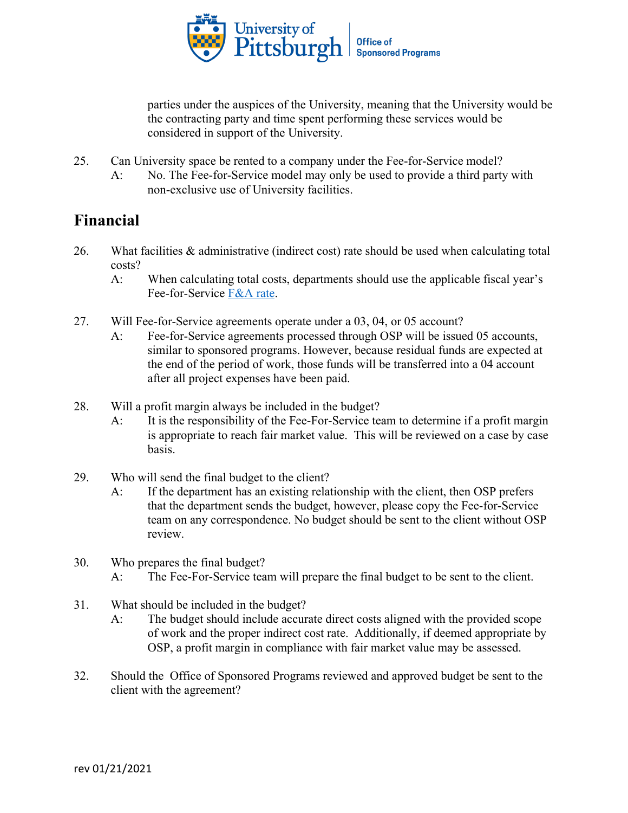

parties under the auspices of the University, meaning that the University would be the contracting party and time spent performing these services would be considered in support of the University.

- 25. Can University space be rented to a company under the Fee-for-Service model?
	- A: No. The Fee-for-Service model may only be used to provide a third party with non-exclusive use of University facilities.

## **Financial**

- 26. What facilities & administrative (indirect cost) rate should be used when calculating total costs?
	- A: When calculating total costs, departments should use the applicable fiscal year's Fee-for-Service [F&A rate.](https://www.controller.pitt.edu/cost-accounting/rate-information/)
- 27. Will Fee-for-Service agreements operate under a 03, 04, or 05 account?
	- A: Fee-for-Service agreements processed through OSP will be issued 05 accounts, similar to sponsored programs. However, because residual funds are expected at the end of the period of work, those funds will be transferred into a 04 account after all project expenses have been paid.
- 28. Will a profit margin always be included in the budget?
	- A: It is the responsibility of the Fee-For-Service team to determine if a profit margin is appropriate to reach fair market value. This will be reviewed on a case by case basis.
- 29. Who will send the final budget to the client?
	- A: If the department has an existing relationship with the client, then OSP prefers that the department sends the budget, however, please copy the Fee-for-Service team on any correspondence. No budget should be sent to the client without OSP review.
- 30. Who prepares the final budget? A: The Fee-For-Service team will prepare the final budget to be sent to the client.
- 31. What should be included in the budget?
	- A: The budget should include accurate direct costs aligned with the provided scope of work and the proper indirect cost rate. Additionally, if deemed appropriate by OSP, a profit margin in compliance with fair market value may be assessed.
- 32. Should the Office of Sponsored Programs reviewed and approved budget be sent to the client with the agreement?